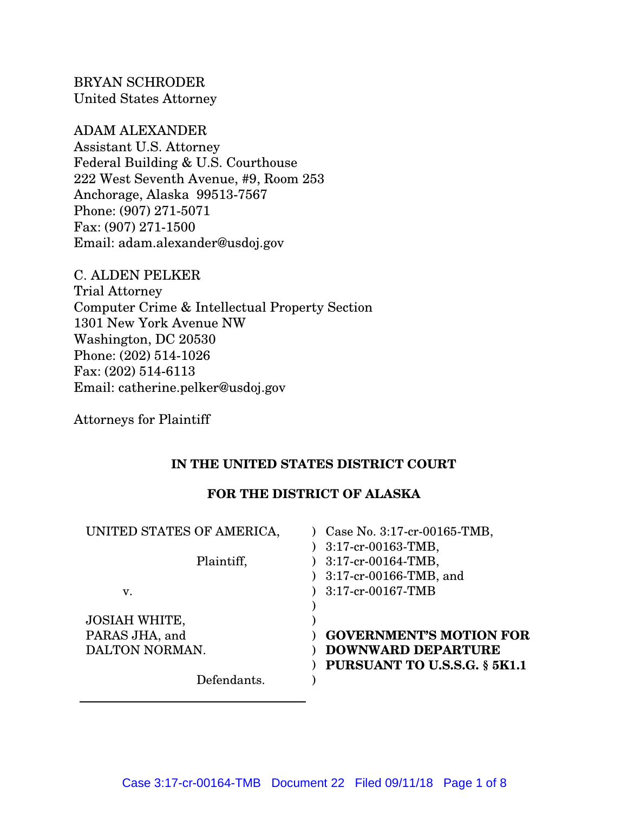BRYAN SCHRODER United States Attorney

# ADAM ALEXANDER

Assistant U.S. Attorney Federal Building & U.S. Courthouse 222 West Seventh Avenue, #9, Room 253 Anchorage, Alaska 99513-7567 Phone: (907) 271-5071 Fax: (907) 271-1500 Email: adam.alexander@usdoj.gov

C. ALDEN PELKER Trial Attorney Computer Crime & Intellectual Property Section 1301 New York Avenue NW Washington, DC 20530 Phone: (202) 514-1026 Fax:  $(202)$  514-6113 Email: catherine.pelker@usdoj.gov

Attorneys for Plaintiff

## **IN THE UNITED STATES DISTRICT COURT**

## **FOR THE DISTRICT OF ALASKA**

| UNITED STATES OF AMERICA, | Case No. 3:17-cr-00165-TMB,<br>$3:17$ -cr-00163-TMB, |
|---------------------------|------------------------------------------------------|
| Plaintiff,                | $3:17$ -cr-00164-TMB,<br>3:17-cr-00166-TMB, and      |
| V.                        | 3:17-cr-00167-TMB                                    |
| <b>JOSIAH WHITE,</b>      |                                                      |
| PARAS JHA, and            | <b>GOVERNMENT'S MOTION FOR</b>                       |
| DALTON NORMAN.            | <b>DOWNWARD DEPARTURE</b>                            |
|                           | PURSUANT TO U.S.S.G. § 5K1.1                         |
| Defendants.               |                                                      |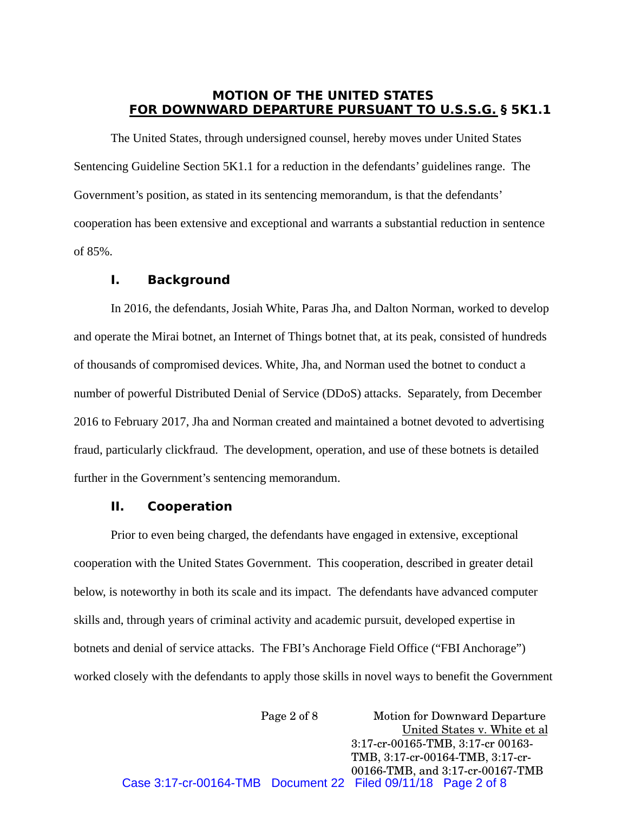### **MOTION OF THE UNITED STATES FOR DOWNWARD DEPARTURE PURSUANT TO U.S.S.G. § 5K1.1**

The United States, through undersigned counsel, hereby moves under United States Sentencing Guideline Section 5K1.1 for a reduction in the defendants' guidelines range. The Government's position, as stated in its sentencing memorandum, is that the defendants' cooperation has been extensive and exceptional and warrants a substantial reduction in sentence of 85%.

### **I. Background**

In 2016, the defendants, Josiah White, Paras Jha, and Dalton Norman, worked to develop and operate the Mirai botnet, an Internet of Things botnet that, at its peak, consisted of hundreds of thousands of compromised devices. White, Jha, and Norman used the botnet to conduct a number of powerful Distributed Denial of Service (DDoS) attacks. Separately, from December 2016 to February 2017, Jha and Norman created and maintained a botnet devoted to advertising fraud, particularly clickfraud. The development, operation, and use of these botnets is detailed further in the Government's sentencing memorandum.

### **II. Cooperation**

Prior to even being charged, the defendants have engaged in extensive, exceptional cooperation with the United States Government. This cooperation, described in greater detail below, is noteworthy in both its scale and its impact. The defendants have advanced computer skills and, through years of criminal activity and academic pursuit, developed expertise in botnets and denial of service attacks. The FBI's Anchorage Field Office ("FBI Anchorage") worked closely with the defendants to apply those skills in novel ways to benefit the Government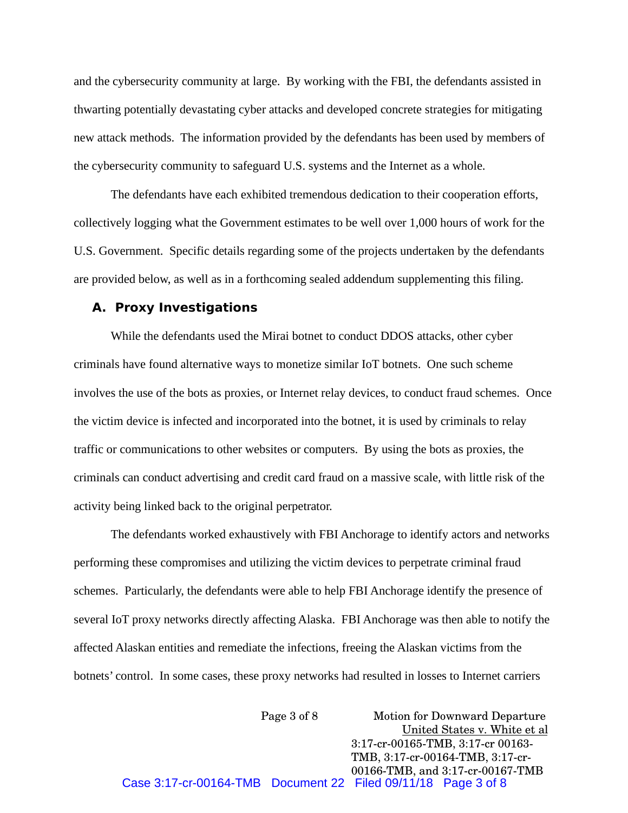and the cybersecurity community at large. By working with the FBI, the defendants assisted in thwarting potentially devastating cyber attacks and developed concrete strategies for mitigating new attack methods. The information provided by the defendants has been used by members of the cybersecurity community to safeguard U.S. systems and the Internet as a whole.

The defendants have each exhibited tremendous dedication to their cooperation efforts, collectively logging what the Government estimates to be well over 1,000 hours of work for the U.S. Government. Specific details regarding some of the projects undertaken by the defendants are provided below, as well as in a forthcoming sealed addendum supplementing this filing.

#### **A. Proxy Investigations**

While the defendants used the Mirai botnet to conduct DDOS attacks, other cyber criminals have found alternative ways to monetize similar IoT botnets. One such scheme involves the use of the bots as proxies, or Internet relay devices, to conduct fraud schemes. Once the victim device is infected and incorporated into the botnet, it is used by criminals to relay traffic or communications to other websites or computers. By using the bots as proxies, the criminals can conduct advertising and credit card fraud on a massive scale, with little risk of the activity being linked back to the original perpetrator.

The defendants worked exhaustively with FBI Anchorage to identify actors and networks performing these compromises and utilizing the victim devices to perpetrate criminal fraud schemes. Particularly, the defendants were able to help FBI Anchorage identify the presence of several IoT proxy networks directly affecting Alaska. FBI Anchorage was then able to notify the affected Alaskan entities and remediate the infections, freeing the Alaskan victims from the botnets' control. In some cases, these proxy networks had resulted in losses to Internet carriers

Page 3 of 8 **Motion for Downward Departure** United States v. White et al 3:17-cr-00165-TMB, 3:17-cr 00163-TMB, 3:17-cr-00164-TMB, 3:17-cr-00166-TMB, and 3:17-cr-00167-TMB Case 3:17-cr-00164-TMB Document 22 Filed 09/11/18 Page 3 of 8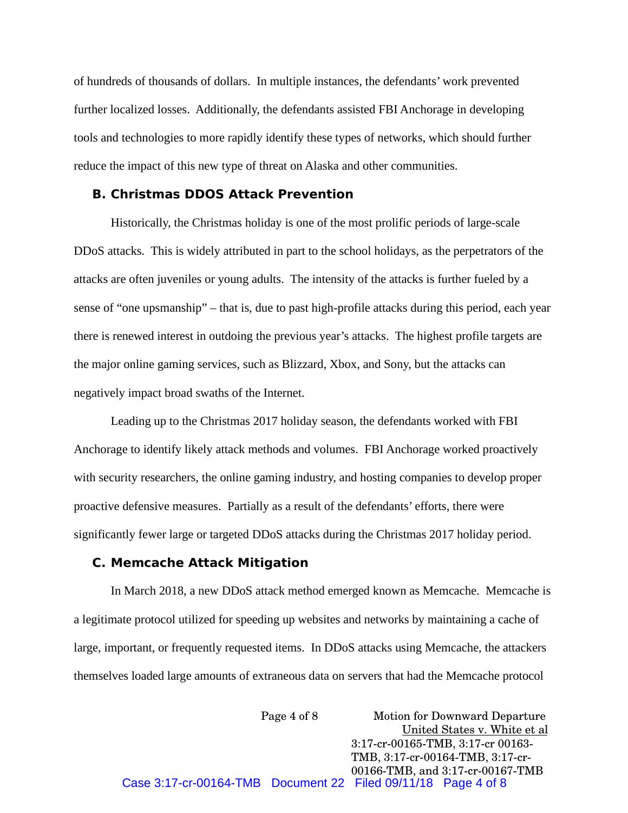of hundreds of thousands of dollars. In multiple instances, the defendants' work prevented further localized losses. Additionally, the defendants assisted FBI Anchorage in developing tools and technologies to more rapidly identify these types of networks, which should further reduce the impact of this new type of threat on Alaska and other communities.

### **B. Christmas DDOS Attack Prevention**

Historically, the Christmas holiday is one of the most prolific periods of large-scale DDoS attacks. This is widely attributed in part to the school holidays, as the perpetrators of the attacks are often juveniles or young adults. The intensity of the attacks is further fueled by a sense of "one upsmanship" – that is, due to past high-profile attacks during this period, each year there is renewed interest in outdoing the previous year's attacks. The highest profile targets are the major online gaming services, such as Blizzard, Xbox, and Sony, but the attacks can negatively impact broad swaths of the Internet.

Leading up to the Christmas 2017 holiday season, the defendants worked with FBI Anchorage to identify likely attack methods and volumes. FBI Anchorage worked proactively with security researchers, the online gaming industry, and hosting companies to develop proper proactive defensive measures. Partially as a result of the defendants' efforts, there were significantly fewer large or targeted DDoS attacks during the Christmas 2017 holiday period.

#### **C. Memcache Attack Mitigation**

In March 2018, a new DDoS attack method emerged known as Memcache. Memcache is a legitimate protocol utilized for speeding up websites and networks by maintaining a cache of large, important, or frequently requested items. In DDoS attacks using Memcache, the attackers themselves loaded large amounts of extraneous data on servers that had the Memcache protocol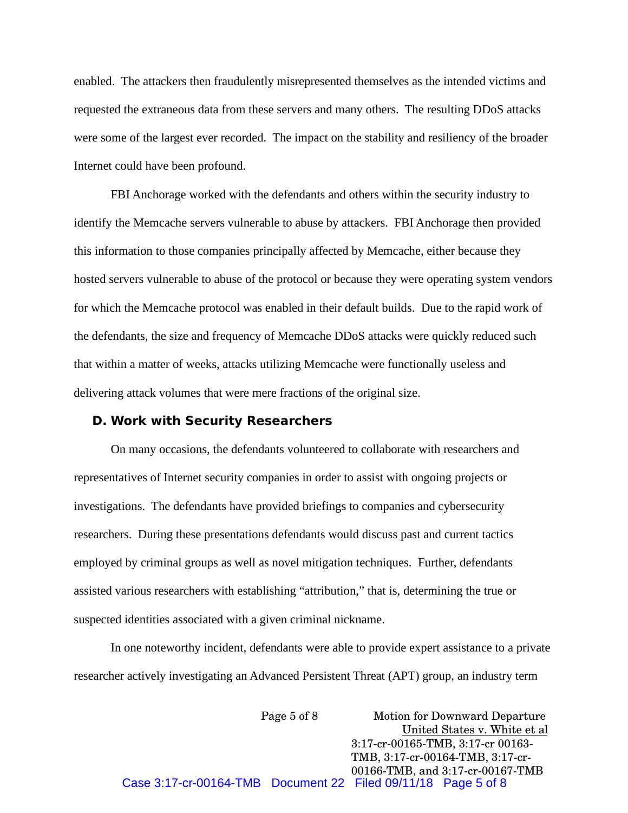enabled. The attackers then fraudulently misrepresented themselves as the intended victims and requested the extraneous data from these servers and many others. The resulting DDoS attacks were some of the largest ever recorded. The impact on the stability and resiliency of the broader Internet could have been profound.

FBI Anchorage worked with the defendants and others within the security industry to identify the Memcache servers vulnerable to abuse by attackers. FBI Anchorage then provided this information to those companies principally affected by Memcache, either because they hosted servers vulnerable to abuse of the protocol or because they were operating system vendors for which the Memcache protocol was enabled in their default builds. Due to the rapid work of the defendants, the size and frequency of Memcache DDoS attacks were quickly reduced such that within a matter of weeks, attacks utilizing Memcache were functionally useless and delivering attack volumes that were mere fractions of the original size.

#### **D. Work with Security Researchers**

On many occasions, the defendants volunteered to collaborate with researchers and representatives of Internet security companies in order to assist with ongoing projects or investigations. The defendants have provided briefings to companies and cybersecurity researchers. During these presentations defendants would discuss past and current tactics employed by criminal groups as well as novel mitigation techniques. Further, defendants assisted various researchers with establishing "attribution," that is, determining the true or suspected identities associated with a given criminal nickname.

In one noteworthy incident, defendants were able to provide expert assistance to a private researcher actively investigating an Advanced Persistent Threat (APT) group, an industry term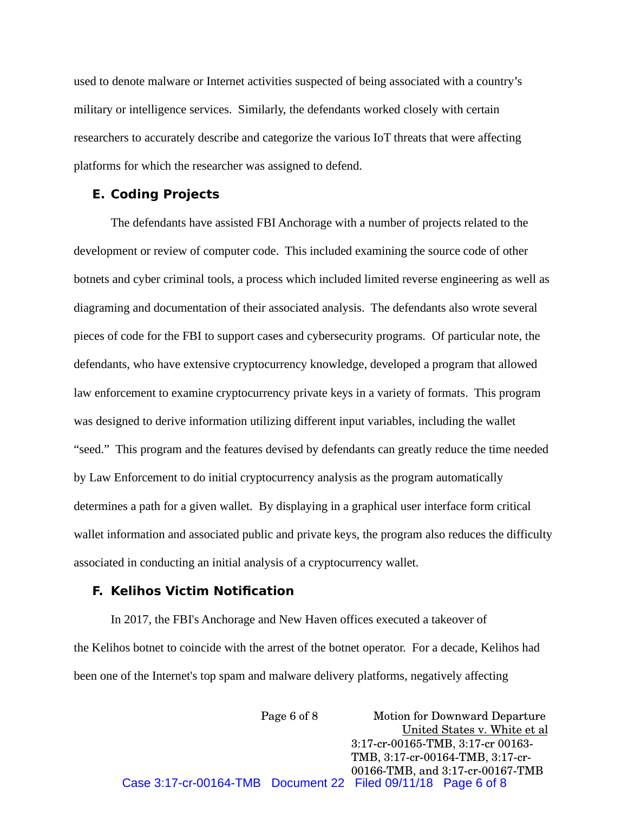used to denote malware or Internet activities suspected of being associated with a country's military or intelligence services. Similarly, the defendants worked closely with certain researchers to accurately describe and categorize the various IoT threats that were affecting platforms for which the researcher was assigned to defend.

#### **E. Coding Projects**

The defendants have assisted FBI Anchorage with a number of projects related to the development or review of computer code. This included examining the source code of other botnets and cyber criminal tools, a process which included limited reverse engineering as well as diagraming and documentation of their associated analysis. The defendants also wrote several pieces of code for the FBI to support cases and cybersecurity programs. Of particular note, the defendants, who have extensive cryptocurrency knowledge, developed a program that allowed law enforcement to examine cryptocurrency private keys in a variety of formats. This program was designed to derive information utilizing different input variables, including the wallet "seed." This program and the features devised by defendants can greatly reduce the time needed by Law Enforcement to do initial cryptocurrency analysis as the program automatically determines a path for a given wallet. By displaying in a graphical user interface form critical wallet information and associated public and private keys, the program also reduces the difficulty associated in conducting an initial analysis of a cryptocurrency wallet.

## **F. Kelihos Victim Notification**

In 2017, the FBI's Anchorage and New Haven offices executed a takeover of the Kelihos botnet to coincide with the arrest of the botnet operator. For a decade, Kelihos had been one of the Internet's top spam and malware delivery platforms, negatively affecting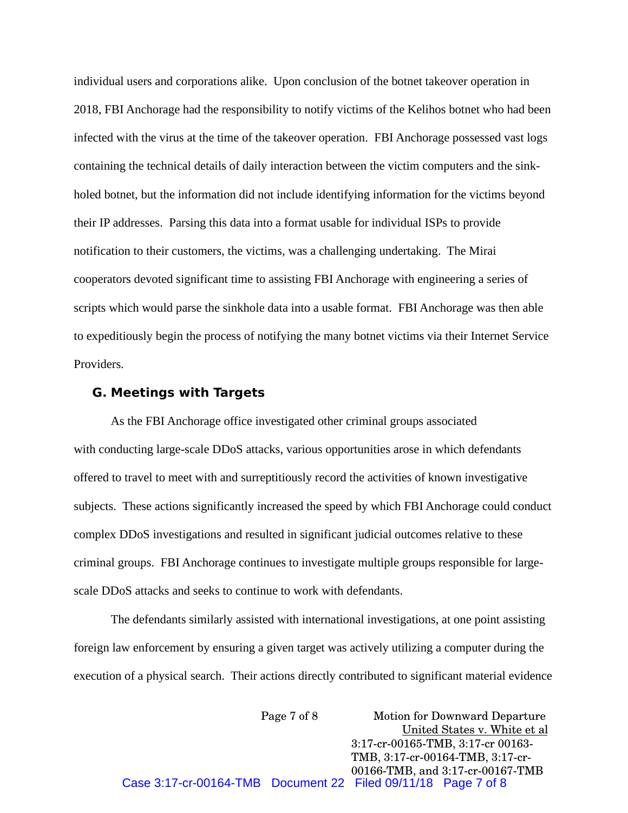individual users and corporations alike. Upon conclusion of the botnet takeover operation in 2018, FBI Anchorage had the responsibility to notify victims of the Kelihos botnet who had been infected with the virus at the time of the takeover operation. FBI Anchorage possessed vast logs containing the technical details of daily interaction between the victim computers and the sinkholed botnet, but the information did not include identifying information for the victims beyond their IP addresses. Parsing this data into a format usable for individual ISPs to provide notification to their customers, the victims, was a challenging undertaking. The Mirai cooperators devoted significant time to assisting FBI Anchorage with engineering a series of scripts which would parse the sinkhole data into a usable format. FBI Anchorage was then able to expeditiously begin the process of notifying the many botnet victims via their Internet Service Providers.

#### **G. Meetings with Targets**

As the FBI Anchorage office investigated other criminal groups associated with conducting large-scale DDoS attacks, various opportunities arose in which defendants offered to travel to meet with and surreptitiously record the activities of known investigative subjects. These actions significantly increased the speed by which FBI Anchorage could conduct complex DDoS investigations and resulted in significant judicial outcomes relative to these criminal groups. FBI Anchorage continues to investigate multiple groups responsible for largescale DDoS attacks and seeks to continue to work with defendants.

The defendants similarly assisted with international investigations, at one point assisting foreign law enforcement by ensuring a given target was actively utilizing a computer during the execution of a physical search. Their actions directly contributed to significant material evidence